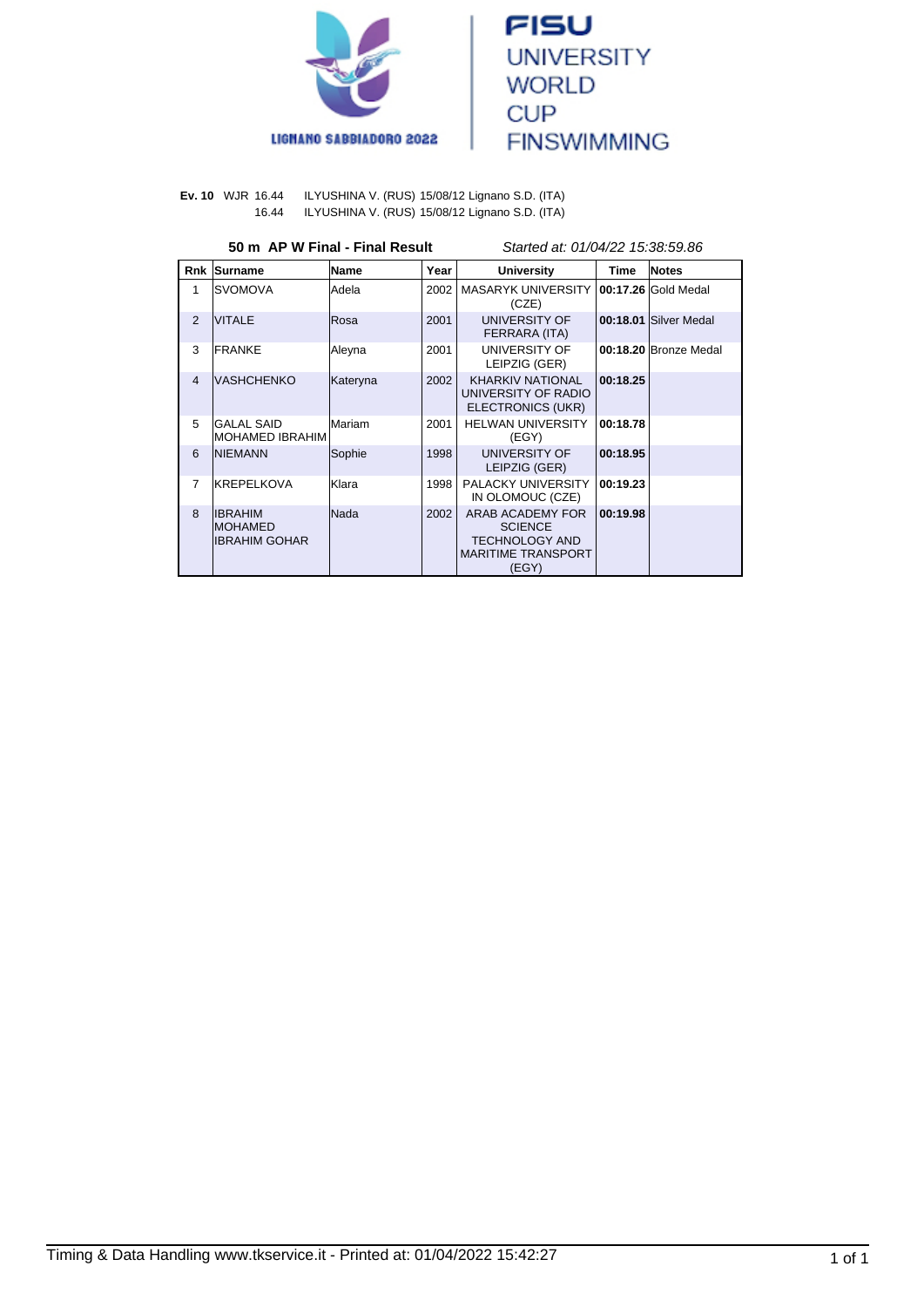



**Ev. 10** WJR 16.44 ILYUSHINA V. (RUS) 15/08/12 Lignano S.D. (ITA) 16.44 ILYUSHINA V. (RUS) 15/08/12 Lignano S.D. (ITA)

# **50 m AP W Final - Final Result** Started at: 01/04/22 15:38:59.86

| Rnk            | Surname                                              | <b>Name</b>  | Year | <b>University</b>                                                                                 | <b>Time</b> | <b>Notes</b>          |
|----------------|------------------------------------------------------|--------------|------|---------------------------------------------------------------------------------------------------|-------------|-----------------------|
| 1              | ISVOMOVA                                             | lAdela       | 2002 | <b>MASARYK UNIVERSITY</b><br>(CZE)                                                                |             | 00:17.26 Gold Medal   |
| 2              | <b>VITALE</b>                                        | <b>Rosa</b>  | 2001 | UNIVERSITY OF<br>FERRARA (ITA)                                                                    |             | 00:18.01 Silver Medal |
| 3              | <b>FRANKE</b>                                        | Aleyna       | 2001 | UNIVERSITY OF<br>LEIPZIG (GER)                                                                    |             | 00:18.20 Bronze Medal |
| $\overline{4}$ | IVASHCHENKO                                          | Kateryna     | 2002 | <b>KHARKIV NATIONAL</b><br>UNIVERSITY OF RADIO<br>ELECTRONICS (UKR)                               | 00:18.25    |                       |
| 5              | IGALAL SAID<br>IMOHAMED IBRAHIM                      | Mariam       | 2001 | <b>HELWAN UNIVERSITY</b><br>(EGY)                                                                 | 00:18.78    |                       |
| 6              | <b>INIEMANN</b>                                      | Sophie       | 1998 | <b>UNIVERSITY OF</b><br>LEIPZIG (GER)                                                             | 00:18.95    |                       |
| $\overline{7}$ | KREPELKOVA                                           | <b>Klara</b> | 1998 | PALACKY UNIVERSITY<br>IN OLOMOUC (CZE)                                                            | 00:19.23    |                       |
| $\mathbf{8}$   | <b>IIBRAHIM</b><br><b>IMOHAMED</b><br>IIBRAHIM GOHAR | Nada         | 2002 | ARAB ACADEMY FOR<br><b>SCIENCE</b><br><b>TECHNOLOGY AND</b><br><b>MARITIME TRANSPORT</b><br>(EGY) | 00:19.98    |                       |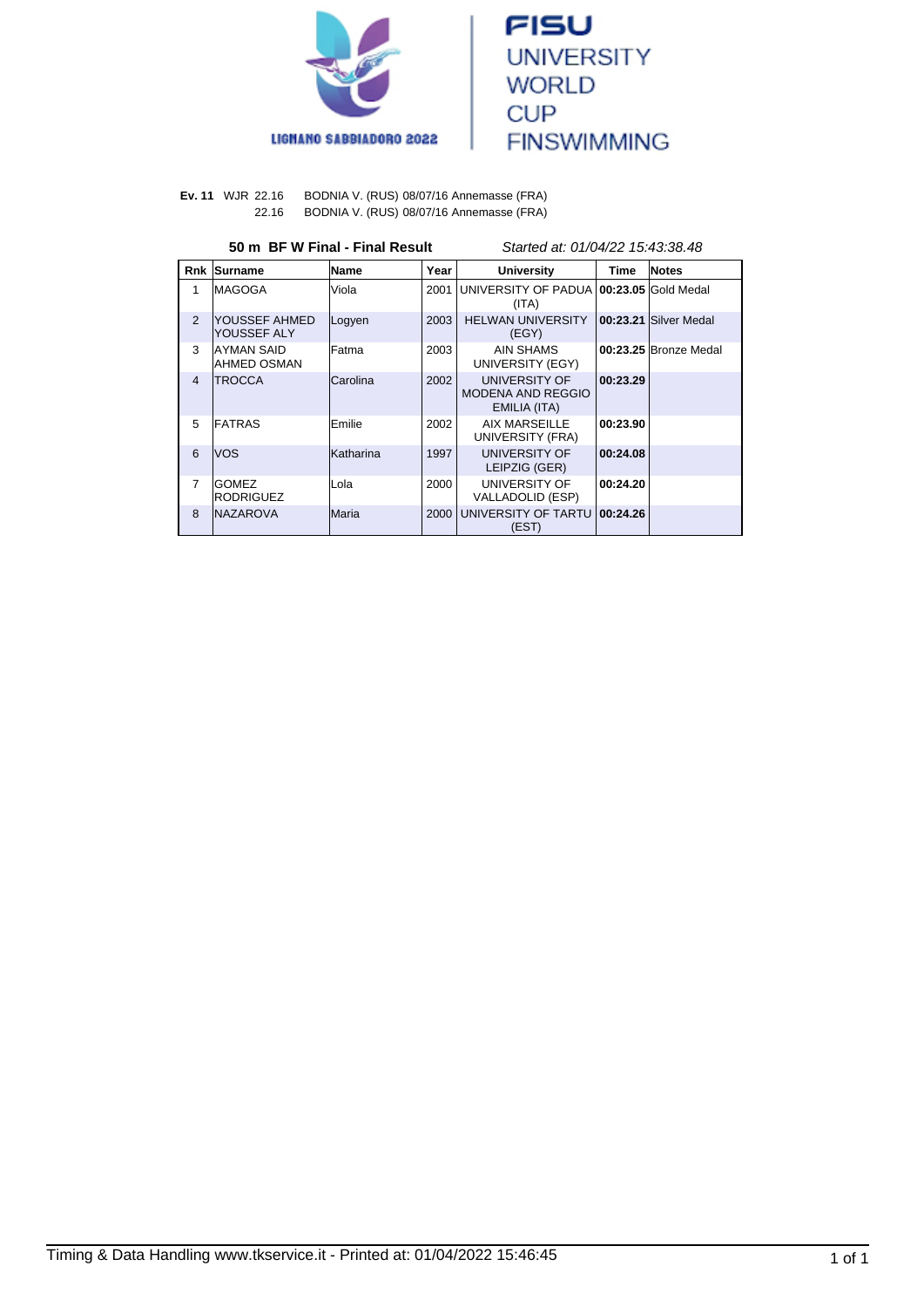



**Ev. 11** WJR 22.16 BODNIA V. (RUS) 08/07/16 Annemasse (FRA) 22.16 BODNIA V. (RUS) 08/07/16 Annemasse (FRA)

# **50 m BF W Final - Final Result** Started at: 01/04/22 15:43:38.48

| <b>Rnk</b>     | Surname                          | Name             | Year | <b>University</b>                                         | <b>Time</b> | <b>Notes</b>          |
|----------------|----------------------------------|------------------|------|-----------------------------------------------------------|-------------|-----------------------|
| 1              | IMAGOGA                          | Viola            | 2001 | UNIVERSITY OF PADUA 100:23.05 Gold Medal<br>(ITA)         |             |                       |
| 2              | YOUSSEF AHMED<br>YOUSSEF ALY     | Logyen           | 2003 | <b>HELWAN UNIVERSITY</b><br>(EGY)                         |             | 00:23.21 Silver Medal |
| 3              | IAYMAN SAID<br>AHMED OSMAN       | lFatma           | 2003 | AIN SHAMS<br>UNIVERSITY (EGY)                             |             | 00:23.25 Bronze Medal |
| $\overline{4}$ | <b>ITROCCA</b>                   | lCarolina        | 2002 | UNIVERSITY OF<br><b>MODENA AND REGGIO</b><br>EMILIA (ITA) | 00:23.29    |                       |
| 5              | <b>FATRAS</b>                    | Emilie           | 2002 | AIX MARSEILLE<br>UNIVERSITY (FRA)                         | 00:23.90    |                       |
| 6              | lvos                             | <b>Katharina</b> | 1997 | UNIVERSITY OF<br>LEIPZIG (GER)                            | 00:24.08    |                       |
| $\overline{7}$ | <b>GOMEZ</b><br><b>RODRIGUEZ</b> | Lola             | 2000 | UNIVERSITY OF<br>VALLADOLID (ESP)                         | 00:24.20    |                       |
| 8              | INAZAROVA                        | lMaria           | 2000 | UNIVERSITY OF TARTU<br>(EST)                              | 00:24.26    |                       |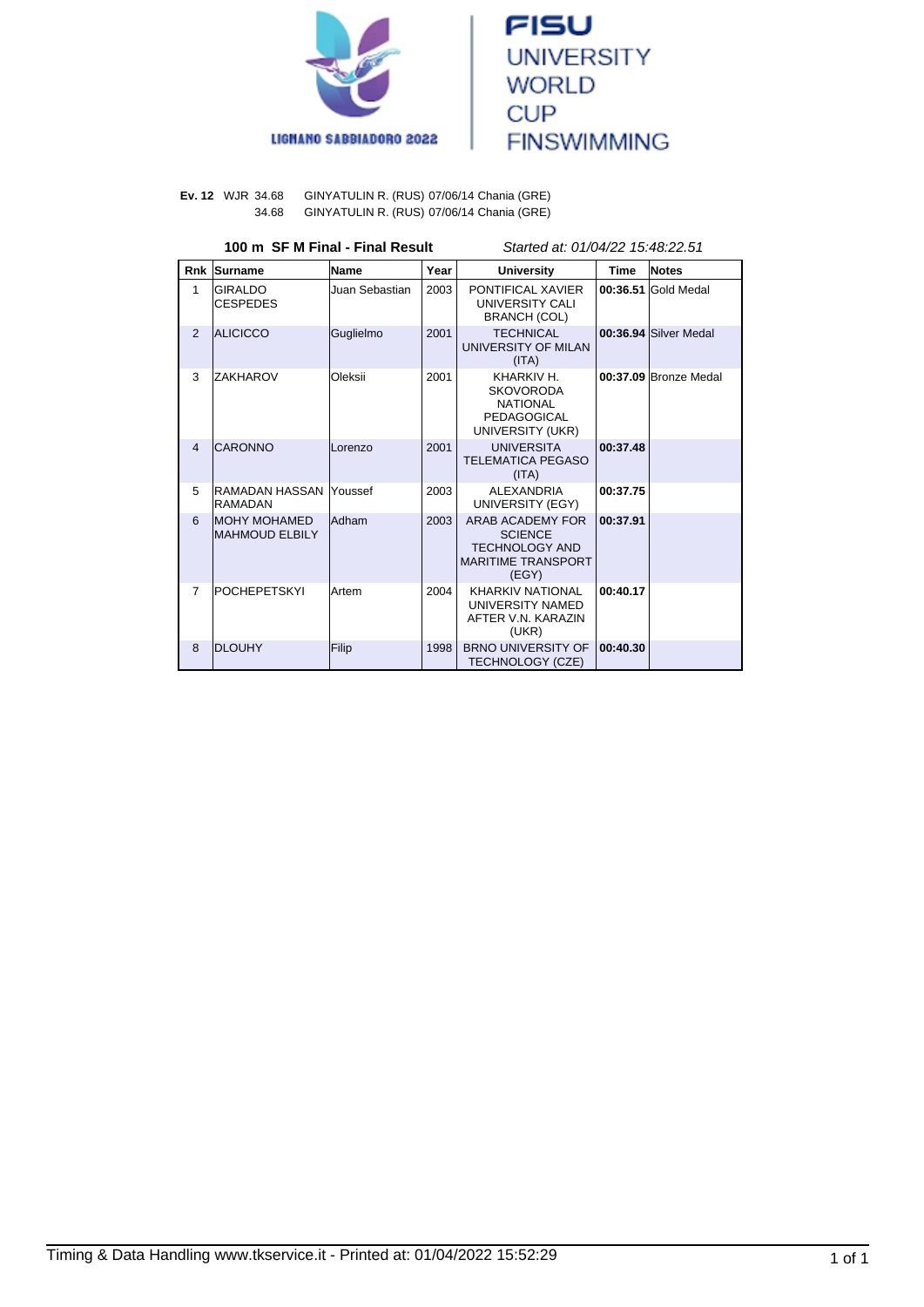



#### **Ev. 12** WJR 34.68 GINYATULIN R. (RUS) 07/06/14 Chania (GRE) 34.68 GINYATULIN R. (RUS) 07/06/14 Chania (GRE)

# **100 m SF M Final - Final Result** Started at: 01/04/22 15:48:22.51

| <b>Rnk</b>     | Surname                                 | Name           | Year | <b>University</b>                                                                                 | <b>Time</b> | <b>Notes</b>          |
|----------------|-----------------------------------------|----------------|------|---------------------------------------------------------------------------------------------------|-------------|-----------------------|
| 1              | <b>GIRALDO</b><br><b>CESPEDES</b>       | Juan Sebastian | 2003 | PONTIFICAL XAVIER<br>UNIVERSITY CALI<br>BRANCH (COL)                                              |             | 00:36.51 Gold Medal   |
| $\overline{2}$ | <b>ALICICCO</b>                         | Guglielmo      | 2001 | <b>TECHNICAL</b><br>UNIVERSITY OF MILAN<br>(ITA)                                                  |             | 00:36.94 Silver Medal |
| 3              | ZAKHAROV                                | Oleksii        | 2001 | KHARKIV H.<br><b>SKOVORODA</b><br><b>NATIONAL</b><br>PEDAGOGICAL<br>UNIVERSITY (UKR)              |             | 00:37.09 Bronze Medal |
| $\overline{4}$ | <b>CARONNO</b>                          | <b>Lorenzo</b> | 2001 | <b>UNIVERSITA</b><br><b>TELEMATICA PEGASO</b><br>(ITA)                                            | 00:37.48    |                       |
| 5              | RAMADAN HASSAN Youssef<br>RAMADAN       |                | 2003 | <b>ALEXANDRIA</b><br>UNIVERSITY (EGY)                                                             | 00:37.75    |                       |
| 6              | <b>IMOHY MOHAMED</b><br>IMAHMOUD ELBILY | <b>Adham</b>   | 2003 | ARAB ACADEMY FOR<br><b>SCIENCE</b><br><b>TECHNOLOGY AND</b><br><b>MARITIME TRANSPORT</b><br>(EGY) | 00:37.91    |                       |
| $\overline{7}$ | <b>POCHEPETSKYI</b>                     | <b>Artem</b>   | 2004 | <b>KHARKIV NATIONAL</b><br>UNIVERSITY NAMED<br>AFTER V.N. KARAZIN<br>(UKR)                        | 00:40.17    |                       |
| 8              | <b>DLOUHY</b>                           | Filip          | 1998 | <b>BRNO UNIVERSITY OF</b><br>TECHNOLOGY (CZE)                                                     | 00:40.30    |                       |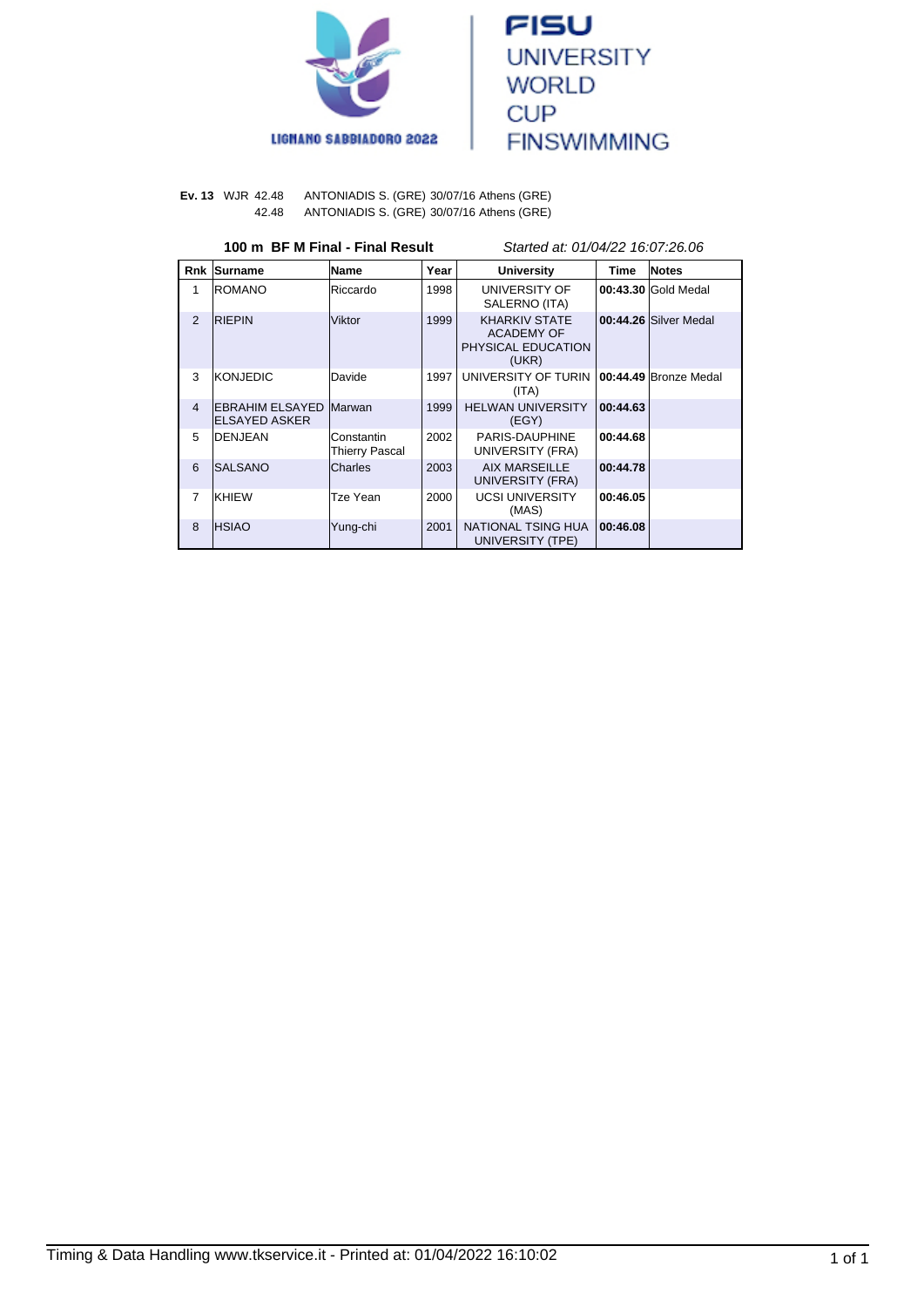



**Ev. 13** WJR 42.48 ANTONIADIS S. (GRE) 30/07/16 Athens (GRE) 42.48 ANTONIADIS S. (GRE) 30/07/16 Athens (GRE)

|  |  |  |  | 100 m  BF M Final - Final Result |
|--|--|--|--|----------------------------------|
|--|--|--|--|----------------------------------|

Started at: 01/04/22 16:07:26.06

| Rnk            | Surname                                               | <b>Name</b>                  | Year | <b>University</b>                                                        | Time     | <b>Notes</b>           |
|----------------|-------------------------------------------------------|------------------------------|------|--------------------------------------------------------------------------|----------|------------------------|
| 1              | <b>IROMANO</b>                                        | Riccardo                     | 1998 | UNIVERSITY OF<br>SALERNO (ITA)                                           |          | 00:43.30 Gold Medal    |
| 2              | <b>RIEPIN</b>                                         | Viktor                       | 1999 | <b>KHARKIV STATE</b><br><b>ACADEMY OF</b><br>PHYSICAL EDUCATION<br>(UKR) |          | 00:44.26 Silver Medal  |
| 3              | <b>KONJEDIC</b>                                       | Davide                       | 1997 | UNIVERSITY OF TURIN<br>(ITA)                                             |          | 100:44.49 Bronze Medal |
| $\overline{4}$ | <b>EBRAHIM ELSAYED Marwan</b><br><b>ELSAYED ASKER</b> |                              | 1999 | <b>HELWAN UNIVERSITY</b><br>(EGY)                                        | 00:44.63 |                        |
| 5              | <b>IDENJEAN</b>                                       | Constantin<br>Thierry Pascal | 2002 | PARIS-DAUPHINE<br>UNIVERSITY (FRA)                                       | 00:44.68 |                        |
| 6              | ISALSANO                                              | Charles                      | 2003 | <b>AIX MARSEILLE</b><br>UNIVERSITY (FRA)                                 | 00:44.78 |                        |
| 7              | KHIEW                                                 | Tze Yean                     | 2000 | <b>UCSI UNIVERSITY</b><br>(MAS)                                          | 00:46.05 |                        |
| 8              | <b>IHSIAO</b>                                         | Yung-chi                     | 2001 | NATIONAL TSING HUA<br>UNIVERSITY (TPE)                                   | 00:46.08 |                        |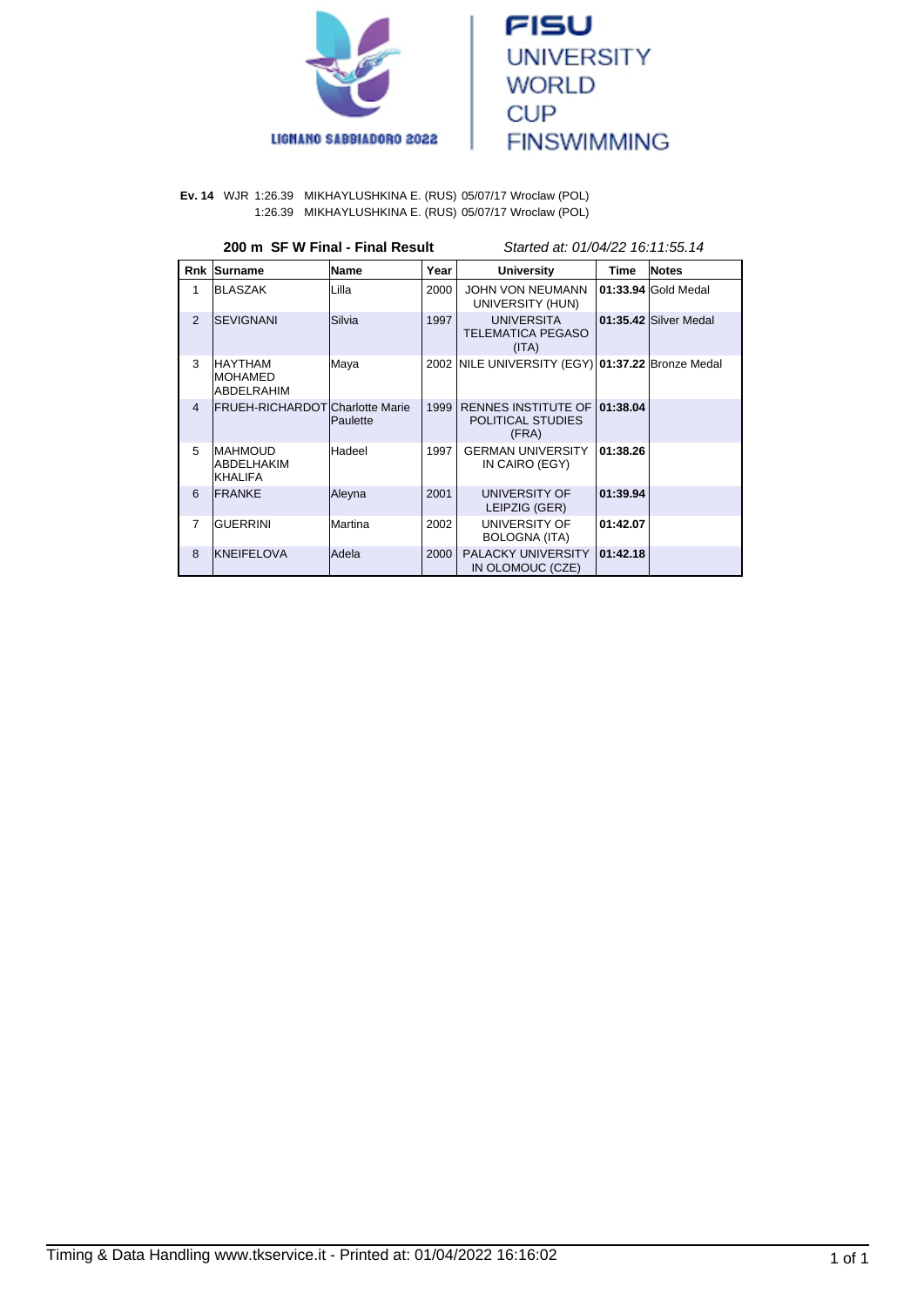



**Ev. 14** WJR 1:26.39 MIKHAYLUSHKINA E. (RUS) 05/07/17 Wroclaw (POL) 1:26.39 MIKHAYLUSHKINA E. (RUS) 05/07/17 Wroclaw (POL)

| 200 m SF W Final - Final Result | Started at: 01/04/22 16:11:55.14 |
|---------------------------------|----------------------------------|
|                                 |                                  |

| <b>Rnk</b>     | Surname                                          | Name            | Year | <b>University</b>                                        | Time     | <b>Notes</b>          |
|----------------|--------------------------------------------------|-----------------|------|----------------------------------------------------------|----------|-----------------------|
| 1              | <b>BLASZAK</b>                                   | Lilla           | 2000 | <b>JOHN VON NEUMANN</b><br>UNIVERSITY (HUN)              |          | 01:33.94 Gold Medal   |
| $\overline{2}$ | <b>ISEVIGNANI</b>                                | Silvia          | 1997 | <b>UNIVERSITA</b><br><b>TELEMATICA PEGASO</b><br>(ITA)   |          | 01:35.42 Silver Medal |
| 3              | <b>HAYTHAM</b><br>IMOHAMED<br>ABDELRAHIM         | Maya            |      | 2002 NILE UNIVERSITY (EGY) 01:37.22 Bronze Medal         |          |                       |
| $\overline{4}$ | FRUEH-RICHARDOT Charlotte Marie                  | <b>Paulette</b> | 1999 | <b>RENNES INSTITUTE OF</b><br>POLITICAL STUDIES<br>(FRA) | 01:38.04 |                       |
| 5              | <b>IMAHMOUD</b><br>ABDELHAKIM<br><b>IKHALIFA</b> | Hadeel          | 1997 | <b>GERMAN UNIVERSITY</b><br>IN CAIRO (EGY)               | 01:38.26 |                       |
| 6              | <b>FRANKE</b>                                    | Aleyna          | 2001 | UNIVERSITY OF<br>LEIPZIG (GER)                           | 01:39.94 |                       |
| $\overline{7}$ | <b>GUERRINI</b>                                  | Martina         | 2002 | UNIVERSITY OF<br><b>BOLOGNA (ITA)</b>                    | 01:42.07 |                       |
| 8              | <b>KNEIFELOVA</b>                                | lAdela          | 2000 | PALACKY UNIVERSITY<br>IN OLOMOUC (CZE)                   | 01:42.18 |                       |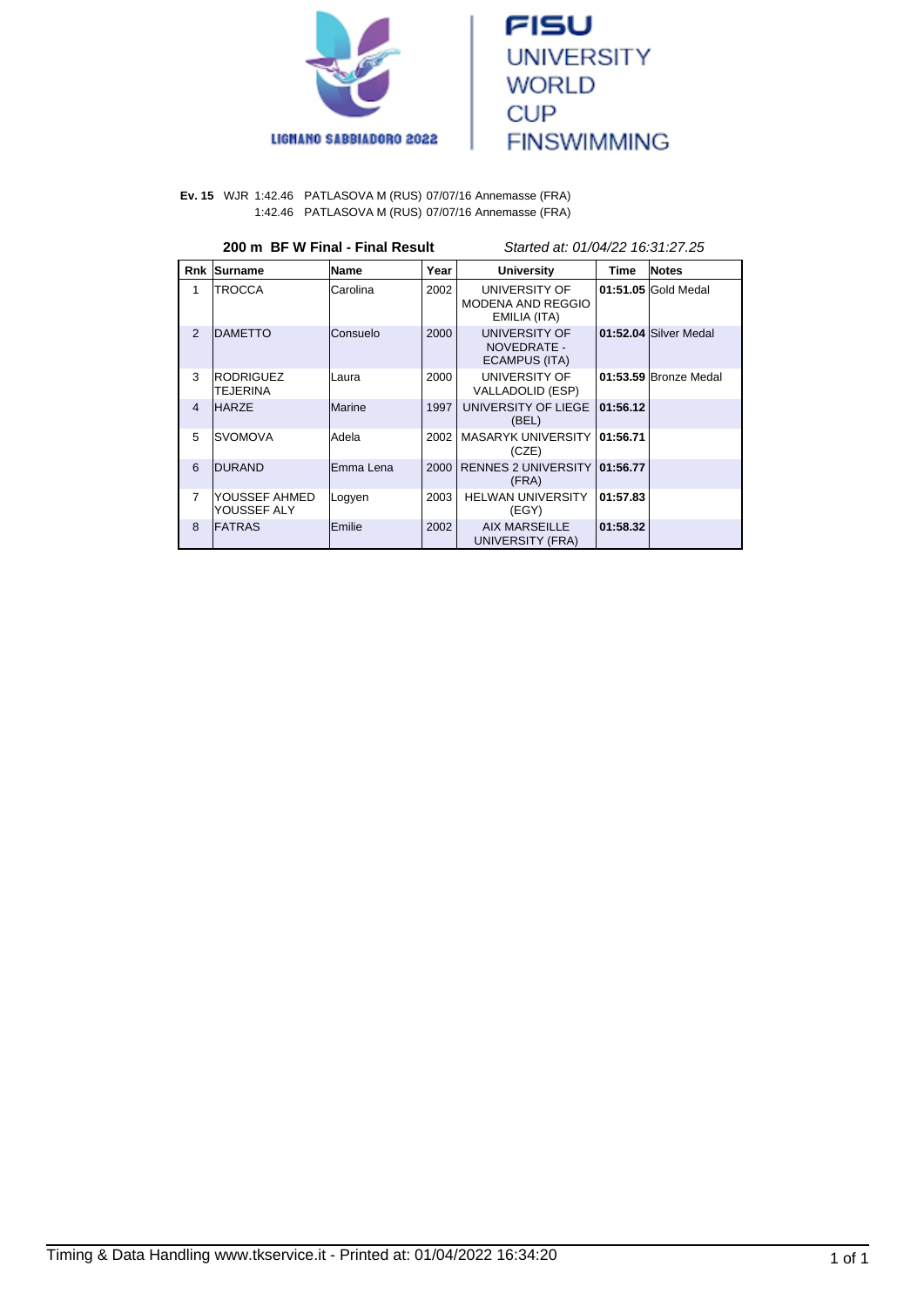



#### **Ev. 15** WJR 1:42.46 PATLASOVA M (RUS) 07/07/16 Annemasse (FRA) 1:42.46 PATLASOVA M (RUS) 07/07/16 Annemasse (FRA)

#### **200 m BF W Final - Final Result** Started at: 01/04/22 16:31:27.25

| Rnk            | Surname                              | Name      | Year | <b>University</b>                                         | <b>Time</b> | Notes                 |
|----------------|--------------------------------------|-----------|------|-----------------------------------------------------------|-------------|-----------------------|
| 1              | <b>ITROCCA</b>                       | Carolina  | 2002 | UNIVERSITY OF<br><b>MODENA AND REGGIO</b><br>EMILIA (ITA) |             | 01:51.05 Gold Medal   |
| $\overline{2}$ | <b>DAMETTO</b>                       | Consuelo  | 2000 | UNIVERSITY OF<br>NOVEDRATE -<br>ECAMPUS (ITA)             |             | 01:52.04 Silver Medal |
| 3              | <b>RODRIGUEZ</b><br><b>ITEJERINA</b> | Laura     | 2000 | UNIVERSITY OF<br>VALLADOLID (ESP)                         |             | 01:53.59 Bronze Medal |
| $\overline{4}$ | <b>HARZE</b>                         | Marine    | 1997 | UNIVERSITY OF LIEGE<br>(BEL)                              | 01:56.12    |                       |
| 5              | ISVOMOVA                             | Adela     | 2002 | MASARYK UNIVERSITY 101:56.71<br>(CZE)                     |             |                       |
| 6              | <b>DURAND</b>                        | Emma Lena | 2000 | RENNES 2 UNIVERSITY 01:56.77<br>(FRA)                     |             |                       |
| 7              | lYOUSSEF AHMED<br>YOUSSEF ALY        | Logyen    | 2003 | <b>HELWAN UNIVERSITY</b><br>(EGY)                         | 01:57.83    |                       |
| 8              | <b>FATRAS</b>                        | Emilie    | 2002 | <b>AIX MARSEILLE</b><br>UNIVERSITY (FRA)                  | 01:58.32    |                       |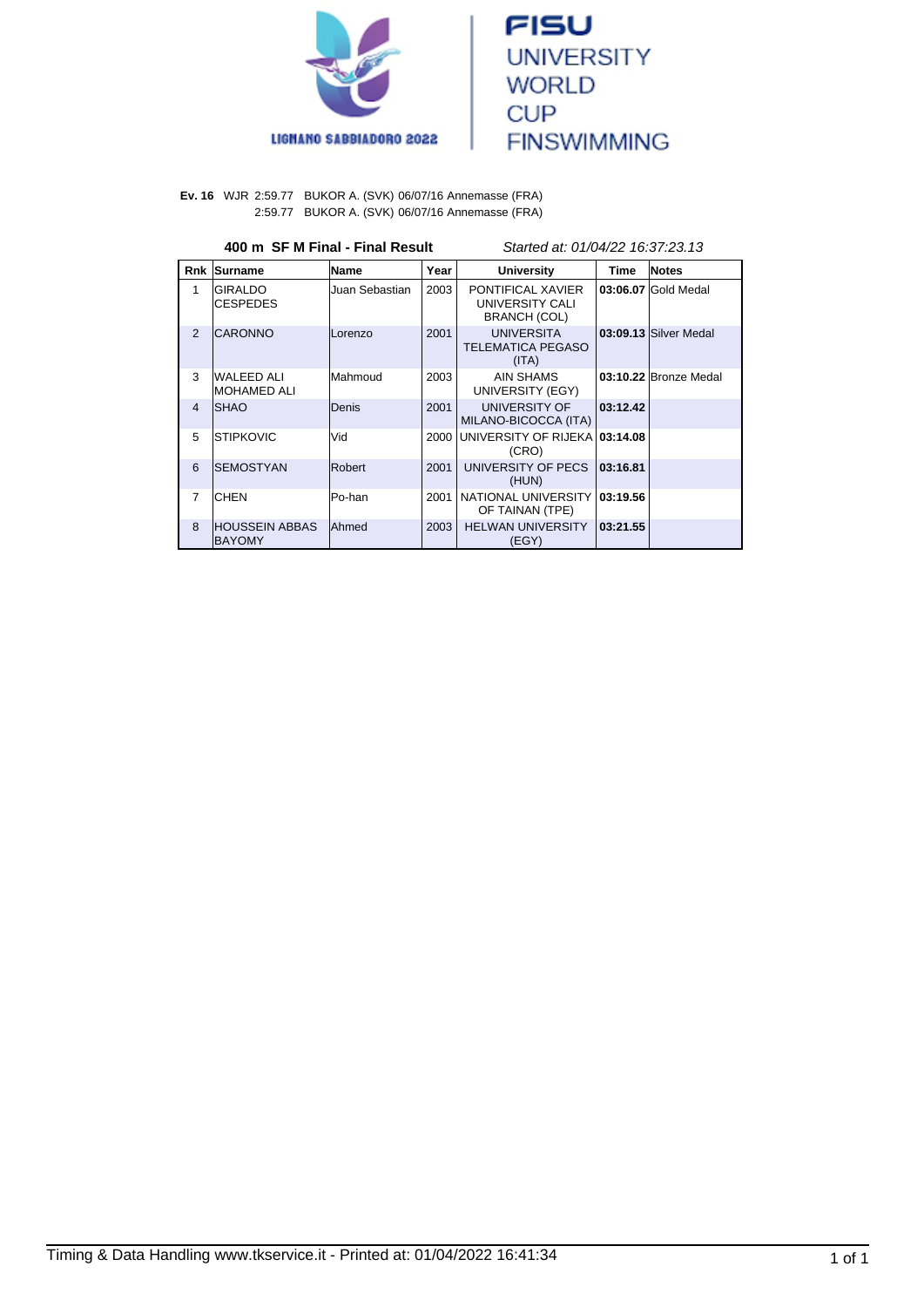



**Ev. 16** WJR 2:59.77 BUKOR A. (SVK) 06/07/16 Annemasse (FRA) 2:59.77 BUKOR A. (SVK) 06/07/16 Annemasse (FRA)

## **400 m SF M Final - Final Result** Started at: 01/04/22 16:37:23.13

| <b>Rnk</b>     | Surname                          | Name           | Year | <b>University</b>                                           | Time     | <b>Notes</b>          |
|----------------|----------------------------------|----------------|------|-------------------------------------------------------------|----------|-----------------------|
| 1              | IGIRALDO<br><b>CESPEDES</b>      | Juan Sebastian | 2003 | PONTIFICAL XAVIER<br>UNIVERSITY CALI<br><b>BRANCH (COL)</b> |          | 03:06.07 Gold Medal   |
| $\overline{2}$ | <b>ICARONNO</b>                  | Lorenzo        | 2001 | <b>UNIVERSITA</b><br><b>TELEMATICA PEGASO</b><br>(ITA)      |          | 03:09.13 Silver Medal |
| 3              | WALEED ALI<br>IMOHAMED ALI       | Mahmoud        | 2003 | AIN SHAMS<br>UNIVERSITY (EGY)                               |          | 03:10.22 Bronze Medal |
| $\overline{4}$ | ISHAO                            | Denis          | 2001 | <b>UNIVERSITY OF</b><br>MILANO-BICOCCA (ITA)                | 03:12.42 |                       |
| 5              | <b>ISTIPKOVIC</b>                | Vid            | 2000 | UNIVERSITY OF RIJEKA 03:14.08<br>(CRO)                      |          |                       |
| 6              | ISEMOSTYAN                       | Robert         | 2001 | UNIVERSITY OF PECS<br>(HUN)                                 | 03:16.81 |                       |
| $\overline{7}$ | ICHEN                            | Po-han         | 2001 | NATIONAL UNIVERSITY<br>OF TAINAN (TPE)                      | 03:19.56 |                       |
| $\mathbf{8}$   | IHOUSSEIN ABBAS<br><b>BAYOMY</b> | <b>Ahmed</b>   | 2003 | <b>HELWAN UNIVERSITY</b><br>(EGY)                           | 03:21.55 |                       |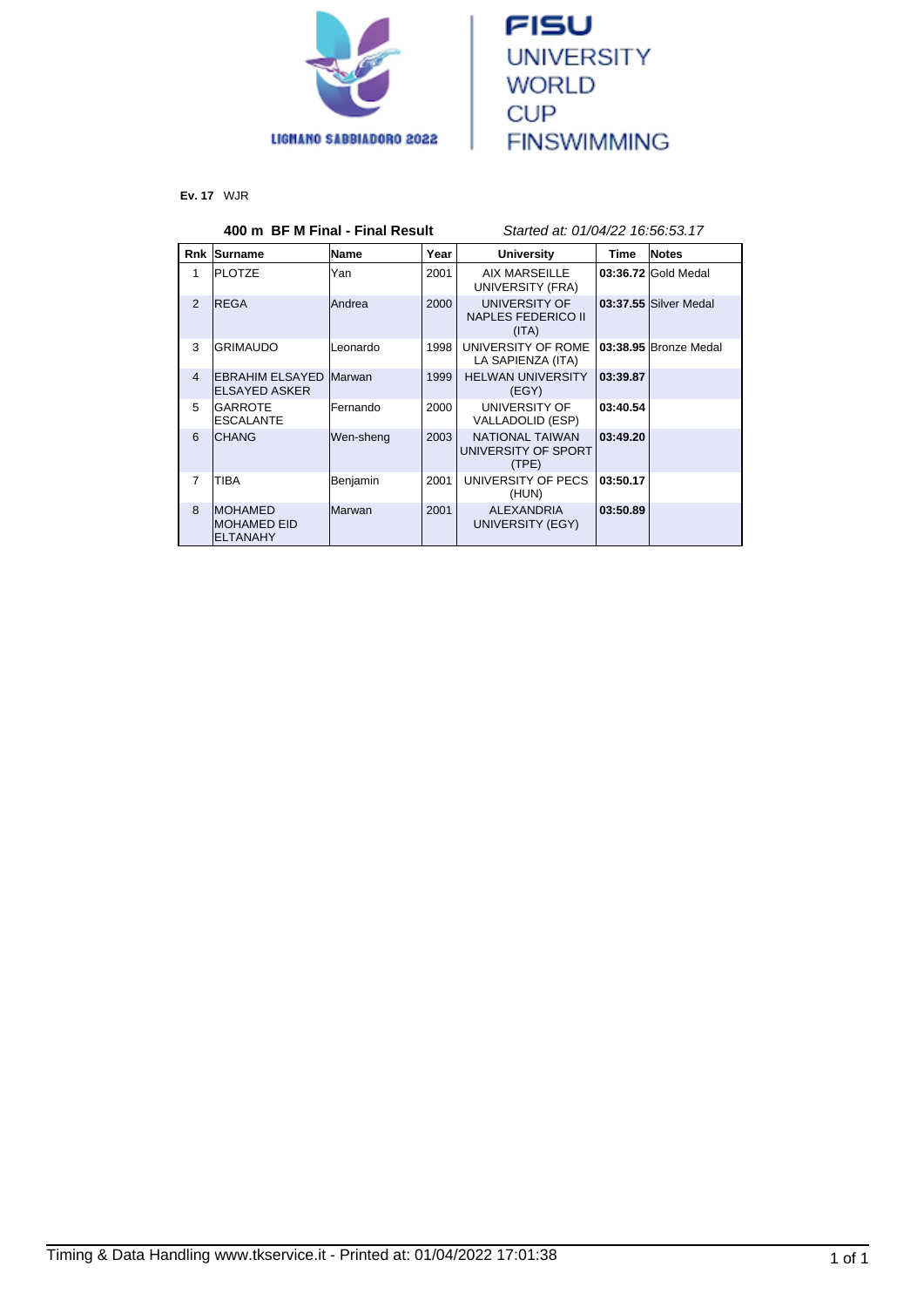



**Ev. 17** WJR

# **400 m BF M Final - Final Result** Started at: 01/04/22 16:56:53.17

| <b>Rnk</b>     | Surname                                               | Name             | Year | <b>University</b>                                      | Time     | <b>Notes</b>          |
|----------------|-------------------------------------------------------|------------------|------|--------------------------------------------------------|----------|-----------------------|
| 1              | <b>PLOTZE</b>                                         | Yan              | 2001 | AIX MARSEILLE<br>UNIVERSITY (FRA)                      |          | 03:36.72 Gold Medal   |
| $\overline{2}$ | <b>IREGA</b>                                          | <b>Andrea</b>    | 2000 | UNIVERSITY OF<br><b>NAPLES FEDERICO II</b><br>(ITA)    |          | 03:37.55 Silver Medal |
| 3              | <b>IGRIMAUDO</b>                                      | Leonardo         | 1998 | UNIVERSITY OF ROME<br>LA SAPIENZA (ITA)                |          | 03:38.95 Bronze Medal |
| $\overline{4}$ | <b>EBRAHIM ELSAYED Marwan</b><br><b>ELSAYED ASKER</b> |                  | 1999 | <b>HELWAN UNIVERSITY</b><br>(EGY)                      | 03:39.87 |                       |
| 5              | <b>IGARROTE</b><br><b>ESCALANTE</b>                   | <b>IFernando</b> | 2000 | UNIVERSITY OF<br>VALLADOLID (ESP)                      | 03:40.54 |                       |
| 6              | <b>ICHANG</b>                                         | Wen-sheng        | 2003 | <b>NATIONAL TAIWAN</b><br>UNIVERSITY OF SPORT<br>(TPE) | 03:49.20 |                       |
| $\overline{7}$ | <b>TIBA</b>                                           | Benjamin         | 2001 | UNIVERSITY OF PECS<br>(HUN)                            | 03:50.17 |                       |
| 8              | <b>MOHAMED</b><br>IMOHAMED EID<br><b>ELTANAHY</b>     | <b>Marwan</b>    | 2001 | <b>ALEXANDRIA</b><br>UNIVERSITY (EGY)                  | 03:50.89 |                       |